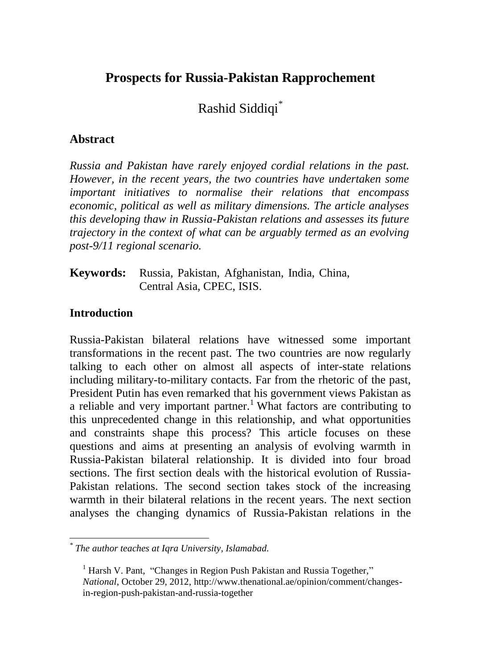# **Prospects for Russia-Pakistan Rapprochement**

Rashid Siddiqi\*

#### **Abstract**

*Russia and Pakistan have rarely enjoyed cordial relations in the past. However, in the recent years, the two countries have undertaken some important initiatives to normalise their relations that encompass economic, political as well as military dimensions. The article analyses this developing thaw in Russia-Pakistan relations and assesses its future trajectory in the context of what can be arguably termed as an evolving post-9/11 regional scenario.*

**Keywords:** Russia, Pakistan, Afghanistan, India, China, Central Asia, CPEC, ISIS.

### **Introduction**

Russia-Pakistan bilateral relations have witnessed some important transformations in the recent past. The two countries are now regularly talking to each other on almost all aspects of inter-state relations including military-to-military contacts. Far from the rhetoric of the past, President Putin has even remarked that his government views Pakistan as a reliable and very important partner.<sup>1</sup> What factors are contributing to this unprecedented change in this relationship, and what opportunities and constraints shape this process? This article focuses on these questions and aims at presenting an analysis of evolving warmth in Russia-Pakistan bilateral relationship. It is divided into four broad sections. The first section deals with the historical evolution of Russia-Pakistan relations. The second section takes stock of the increasing warmth in their bilateral relations in the recent years. The next section analyses the changing dynamics of Russia-Pakistan relations in the

 *\* The author teaches at Iqra University, Islamabad.* 

<sup>&</sup>lt;sup>1</sup> Harsh V. Pant, "Changes in Region Push Pakistan and Russia Together," *National*, October 29, 2012, [http://www.thenational.ae/opinion/comment/changes](http://www.thenational.ae/opinion/comment/changes-in-region-push-pakistan-and-russia-together)[in-region-push-pakistan-and-russia-together](http://www.thenational.ae/opinion/comment/changes-in-region-push-pakistan-and-russia-together)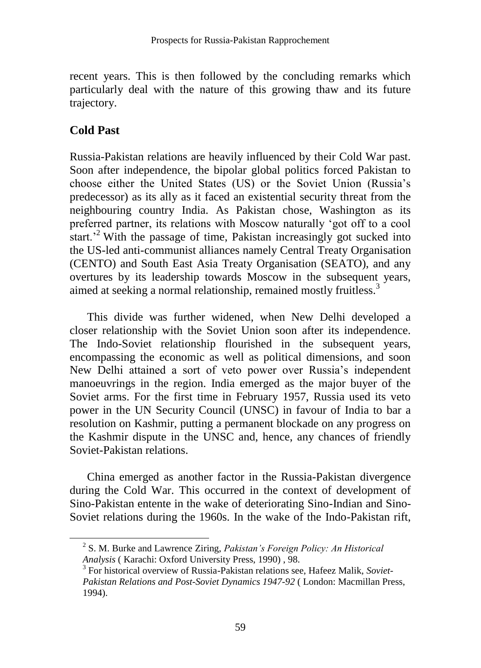recent years. This is then followed by the concluding remarks which particularly deal with the nature of this growing thaw and its future trajectory.

## **Cold Past**

 $\overline{a}$ 

Russia-Pakistan relations are heavily influenced by their Cold War past. Soon after independence, the bipolar global politics forced Pakistan to choose either the United States (US) or the Soviet Union (Russia's predecessor) as its ally as it faced an existential security threat from the neighbouring country India. As Pakistan chose, Washington as its preferred partner, its relations with Moscow naturally 'got off to a cool start.<sup>2</sup> With the passage of time, Pakistan increasingly got sucked into the US-led anti-communist alliances namely Central Treaty Organisation (CENTO) and South East Asia Treaty Organisation (SEATO), and any overtures by its leadership towards Moscow in the subsequent years, aimed at seeking a normal relationship, remained mostly fruitless.<sup>3</sup>

This divide was further widened, when New Delhi developed a closer relationship with the Soviet Union soon after its independence. The Indo-Soviet relationship flourished in the subsequent years, encompassing the economic as well as political dimensions, and soon New Delhi attained a sort of veto power over Russia's independent manoeuvrings in the region. India emerged as the major buyer of the Soviet arms. For the first time in February 1957, Russia used its veto power in the UN Security Council (UNSC) in favour of India to bar a resolution on Kashmir, putting a permanent blockade on any progress on the Kashmir dispute in the UNSC and, hence, any chances of friendly Soviet-Pakistan relations.

China emerged as another factor in the Russia-Pakistan divergence during the Cold War. This occurred in the context of development of Sino-Pakistan entente in the wake of deteriorating Sino-Indian and Sino-Soviet relations during the 1960s. In the wake of the Indo-Pakistan rift,

<sup>2</sup> S. M. Burke and Lawrence Ziring, *Pakistan's Foreign Policy: An Historical Analysis* ( Karachi: Oxford University Press, 1990) , 98.

<sup>3</sup> For historical overview of Russia-Pakistan relations see, Hafeez Malik, *Soviet-Pakistan Relations and Post-Soviet Dynamics 1947-92* ( London: Macmillan Press, 1994).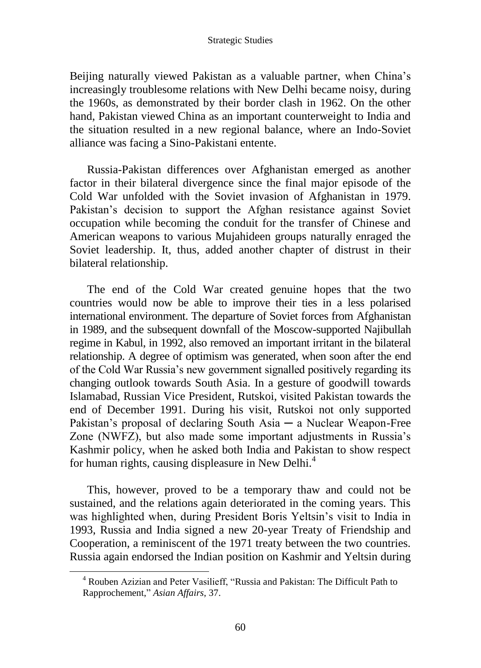#### Strategic Studies

Beijing naturally viewed Pakistan as a valuable partner, when China's increasingly troublesome relations with New Delhi became noisy, during the 1960s, as demonstrated by their border clash in 1962. On the other hand, Pakistan viewed China as an important counterweight to India and the situation resulted in a new regional balance, where an Indo-Soviet alliance was facing a Sino-Pakistani entente.

Russia-Pakistan differences over Afghanistan emerged as another factor in their bilateral divergence since the final major episode of the Cold War unfolded with the Soviet invasion of Afghanistan in 1979. Pakistan's decision to support the Afghan resistance against Soviet occupation while becoming the conduit for the transfer of Chinese and American weapons to various Mujahideen groups naturally enraged the Soviet leadership. It, thus, added another chapter of distrust in their bilateral relationship.

The end of the Cold War created genuine hopes that the two countries would now be able to improve their ties in a less polarised international environment. The departure of Soviet forces from Afghanistan in 1989, and the subsequent downfall of the Moscow-supported Najibullah regime in Kabul, in 1992, also removed an important irritant in the bilateral relationship. A degree of optimism was generated, when soon after the end of the Cold War Russia's new government signalled positively regarding its changing outlook towards South Asia. In a gesture of goodwill towards Islamabad, Russian Vice President, Rutskoi, visited Pakistan towards the end of December 1991. During his visit, Rutskoi not only supported Pakistan's proposal of declaring South Asia  $-$  a Nuclear Weapon-Free Zone (NWFZ), but also made some important adjustments in Russia's Kashmir policy, when he asked both India and Pakistan to show respect for human rights, causing displeasure in New Delhi.<sup>4</sup>

This, however, proved to be a temporary thaw and could not be sustained, and the relations again deteriorated in the coming years. This was highlighted when, during President Boris Yeltsin's visit to India in 1993, Russia and India signed a new 20-year Treaty of Friendship and Cooperation, a reminiscent of the 1971 treaty between the two countries. Russia again endorsed the Indian position on Kashmir and Yeltsin during

<sup>4</sup> Rouben Azizian and Peter Vasilieff, "Russia and Pakistan: The Difficult Path to Rapprochement," *Asian Affairs*, 37.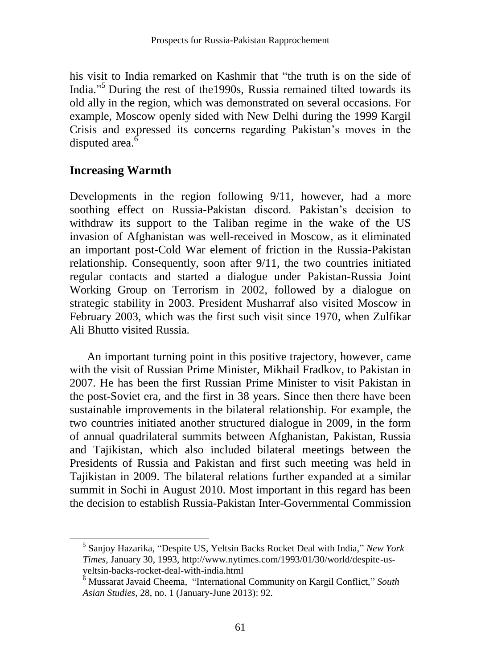his visit to India remarked on Kashmir that "the truth is on the side of India." <sup>5</sup> During the rest of the1990s, Russia remained tilted towards its old ally in the region, which was demonstrated on several occasions. For example, Moscow openly sided with New Delhi during the 1999 Kargil Crisis and expressed its concerns regarding Pakistan's moves in the disputed area.<sup>6</sup>

## **Increasing Warmth**

 $\overline{a}$ 

Developments in the region following 9/11, however, had a more soothing effect on Russia-Pakistan discord. Pakistan's decision to withdraw its support to the Taliban regime in the wake of the US invasion of Afghanistan was well-received in Moscow, as it eliminated an important post-Cold War element of friction in the Russia-Pakistan relationship. Consequently, soon after 9/11, the two countries initiated regular contacts and started a dialogue under Pakistan-Russia Joint Working Group on Terrorism in 2002, followed by a dialogue on strategic stability in 2003. President Musharraf also visited Moscow in February 2003, which was the first such visit since 1970, when Zulfikar Ali Bhutto visited Russia.

An important turning point in this positive trajectory, however, came with the visit of Russian Prime Minister, Mikhail Fradkov, to Pakistan in 2007. He has been the first Russian Prime Minister to visit Pakistan in the post-Soviet era, and the first in 38 years. Since then there have been sustainable improvements in the bilateral relationship. For example, the two countries initiated another structured dialogue in 2009, in the form of annual quadrilateral summits between Afghanistan, Pakistan, Russia and Tajikistan, which also included bilateral meetings between the Presidents of Russia and Pakistan and first such meeting was held in Tajikistan in 2009. The bilateral relations further expanded at a similar summit in Sochi in August 2010. Most important in this regard has been the decision to establish Russia-Pakistan Inter-Governmental Commission

<sup>5</sup> Sanjoy Hazarika, "Despite US, Yeltsin Backs Rocket Deal with India," *New York Times*, January 30, 1993, http://www.nytimes.com/1993/01/30/world/despite-usyeltsin-backs-rocket-deal-with-india.html

<sup>6</sup> Mussarat Javaid Cheema, "International Community on Kargil Conflict," *South Asian Studies*, 28, no. 1 (January-June 2013): 92.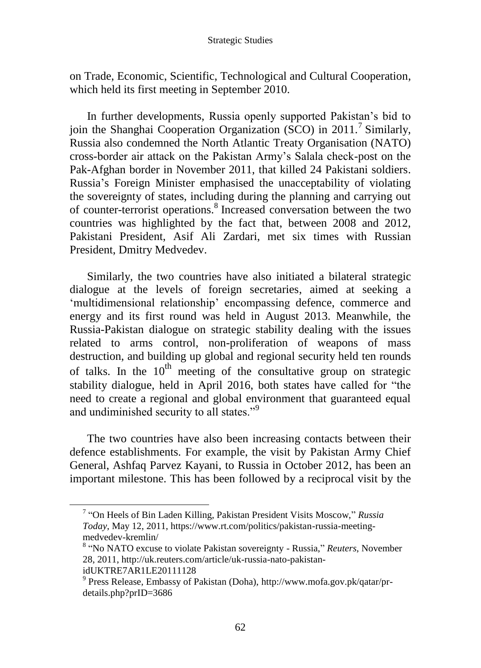#### Strategic Studies

on Trade, Economic, Scientific, Technological and Cultural Cooperation, which held its first meeting in September 2010.

In further developments, Russia openly supported Pakistan's bid to join the Shanghai Cooperation Organization (SCO) in 2011.<sup>7</sup> Similarly, Russia also condemned the North Atlantic Treaty Organisation (NATO) cross-border air attack on the Pakistan Army's Salala check-post on the Pak-Afghan border in November 2011, that killed 24 Pakistani soldiers. Russia's Foreign Minister emphasised the unacceptability of violating the sovereignty of states, including during the planning and carrying out of counter-terrorist operations.<sup>8</sup> Increased conversation between the two countries was highlighted by the fact that, between 2008 and 2012, Pakistani President, Asif Ali Zardari, met six times with Russian President, Dmitry Medvedev.

Similarly, the two countries have also initiated a bilateral strategic dialogue at the levels of foreign secretaries, aimed at seeking a 'multidimensional relationship' encompassing defence, commerce and energy and its first round was held in August 2013. Meanwhile, the Russia-Pakistan dialogue on strategic stability dealing with the issues related to arms control, non-proliferation of weapons of mass destruction, and building up global and regional security held ten rounds of talks. In the  $10^{th}$  meeting of the consultative group on strategic stability dialogue, held in April 2016, both states have called for "the need to create a regional and global environment that guaranteed equal and undiminished security to all states."<sup>9</sup>

The two countries have also been increasing contacts between their defence establishments. For example, the visit by Pakistan Army Chief General, Ashfaq Parvez Kayani, to Russia in October 2012, has been an important milestone. This has been followed by a reciprocal visit by the

<sup>7</sup> "On Heels of Bin Laden Killing, Pakistan President Visits Moscow," *Russia Today*, May 12, 2011, https://www.rt.com/politics/pakistan-russia-meetingmedvedev-kremlin/

<sup>8</sup> "No NATO excuse to violate Pakistan sovereignty - Russia," *Reuters*, November 28, 2011[, http://uk.reuters.com/article/uk-russia-nato-pakistan](http://uk.reuters.com/article/uk-russia-nato-pakistan-idUKTRE7AR1LE20111128)[idUKTRE7AR1LE20111128](http://uk.reuters.com/article/uk-russia-nato-pakistan-idUKTRE7AR1LE20111128)

<sup>9</sup> Press Release, Embassy of Pakistan (Doha), [http://www.mofa.gov.pk/qatar/pr](http://www.mofa.gov.pk/qatar/pr-details.php?prID=3686)[details.php?prID=3686](http://www.mofa.gov.pk/qatar/pr-details.php?prID=3686)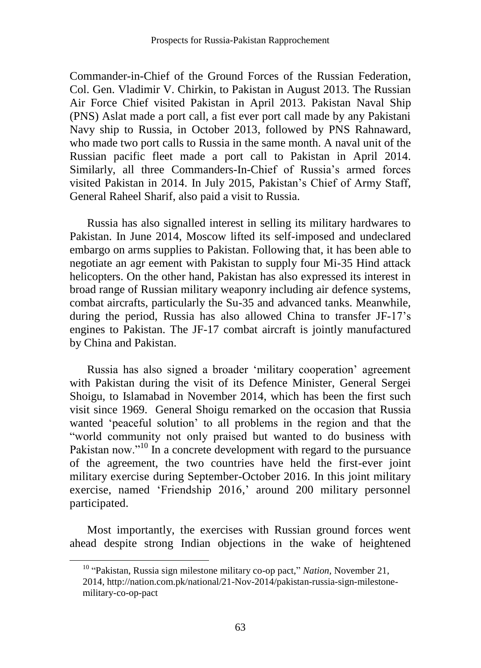Commander-in-Chief of the Ground Forces of the Russian Federation, Col. Gen. Vladimir V. Chirkin, to Pakistan in August 2013. The Russian Air Force Chief visited Pakistan in April 2013. Pakistan Naval Ship (PNS) Aslat made a port call, a fist ever port call made by any Pakistani Navy ship to Russia, in October 2013, followed by PNS Rahnaward, who made two port calls to Russia in the same month. A naval unit of the Russian pacific fleet made a port call to Pakistan in April 2014. Similarly, all three Commanders-In-Chief of Russia's armed forces visited Pakistan in 2014. In July 2015, Pakistan's Chief of Army Staff, General Raheel Sharif, also paid a visit to Russia.

Russia has also signalled interest in selling its military hardwares to Pakistan. In June 2014, Moscow lifted its self-imposed and undeclared embargo on arms supplies to Pakistan. Following that, it has been able to negotiate an agr eement with Pakistan to supply four Mi-35 Hind attack helicopters. On the other hand, Pakistan has also expressed its interest in broad range of Russian military weaponry including air defence systems, combat aircrafts, particularly the Su-35 and advanced tanks. Meanwhile, during the period, Russia has also allowed China to transfer JF-17's engines to Pakistan. The JF-17 combat aircraft is jointly manufactured by China and Pakistan.

Russia has also signed a broader 'military cooperation' agreement with Pakistan during the visit of its Defence Minister, General Sergei Shoigu, to Islamabad in November 2014, which has been the first such visit since 1969. General Shoigu remarked on the occasion that Russia wanted 'peaceful solution' to all problems in the region and that the "world community not only praised but wanted to do business with Pakistan now."<sup>10</sup> In a concrete development with regard to the pursuance of the agreement, the two countries have held the first-ever joint military exercise during September-October 2016. In this joint military exercise, named 'Friendship 2016,' around 200 military personnel participated.

Most importantly, the exercises with Russian ground forces went ahead despite strong Indian objections in the wake of heightened

<sup>10</sup> "Pakistan, Russia sign milestone military co-op pact," *Nation*, November 21, 2014, http://nation.com.pk/national/21-Nov-2014/pakistan-russia-sign-milestonemilitary-co-op-pact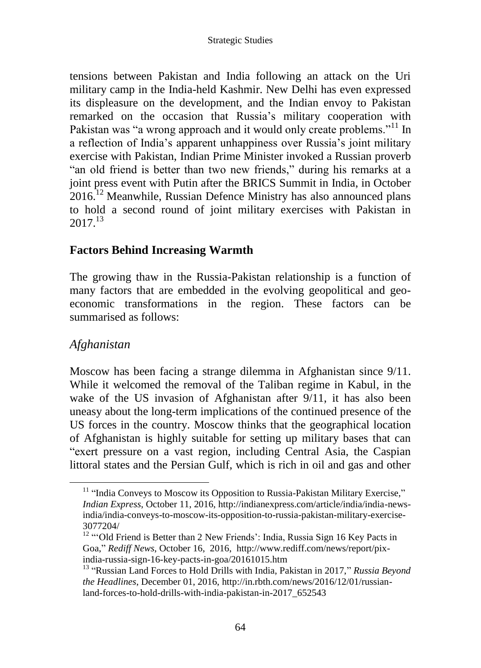tensions between Pakistan and India following an attack on the Uri military camp in the India-held Kashmir. New Delhi has even expressed its displeasure on the development, and the Indian envoy to Pakistan remarked on the occasion that Russia's military cooperation with Pakistan was "a wrong approach and it would only create problems."<sup>11</sup> In a reflection of India's apparent unhappiness over Russia's joint military exercise with Pakistan, Indian Prime Minister invoked a Russian proverb "an old friend is better than two new friends," during his remarks at a joint press event with Putin after the BRICS Summit in India, in October 2016.<sup>12</sup> Meanwhile, Russian Defence Ministry has also announced plans to hold a second round of joint military exercises with Pakistan in  $2017^{13}$ 

## **Factors Behind Increasing Warmth**

The growing thaw in the Russia-Pakistan relationship is a function of many factors that are embedded in the evolving geopolitical and geoeconomic transformations in the region. These factors can be summarised as follows:

## *Afghanistan*

Moscow has been facing a strange dilemma in Afghanistan since 9/11. While it welcomed the removal of the Taliban regime in Kabul, in the wake of the US invasion of Afghanistan after  $9/11$ , it has also been uneasy about the long-term implications of the continued presence of the US forces in the country. Moscow thinks that the geographical location of Afghanistan is highly suitable for setting up military bases that can "exert pressure on a vast region, including Central Asia, the Caspian littoral states and the Persian Gulf, which is rich in oil and gas and other

 $11$  "India Conveys to Moscow its Opposition to Russia-Pakistan Military Exercise," *Indian Express*, October 11, 2016, http://indianexpress.com/article/india/india-newsindia/india-conveys-to-moscow-its-opposition-to-russia-pakistan-military-exercise-3077204/

<sup>&</sup>lt;sup>12</sup> "'Old Friend is Better than 2 New Friends': India, Russia Sign 16 Key Pacts in Goa," *Rediff News*, October 16, 2016, [http://www.rediff.com/news/report/pix](http://www.rediff.com/news/report/pix-india-russia-sign-16-key-pacts-in-goa/20161015.htm)[india-russia-sign-16-key-pacts-in-goa/20161015.htm](http://www.rediff.com/news/report/pix-india-russia-sign-16-key-pacts-in-goa/20161015.htm)

<sup>13</sup> "Russian Land Forces to Hold Drills with India, Pakistan in 2017," *Russia Beyond the Headlines*, December 01, 2016, [http://in.rbth.com/news/2016/12/01/russian](http://in.rbth.com/news/2016/12/01/russian-land-forces-to-hold-drills-with-india-pakistan-in-2017_652543)[land-forces-to-hold-drills-with-india-pakistan-in-2017\\_652543](http://in.rbth.com/news/2016/12/01/russian-land-forces-to-hold-drills-with-india-pakistan-in-2017_652543)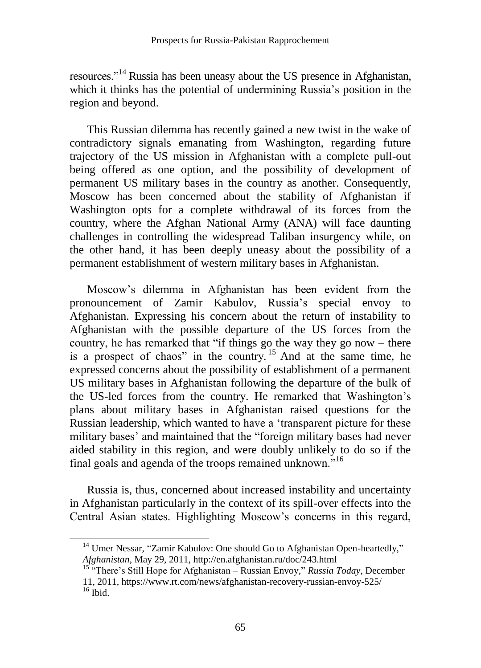resources."<sup>14</sup> Russia has been uneasy about the US presence in Afghanistan, which it thinks has the potential of undermining Russia's position in the region and beyond.

This Russian dilemma has recently gained a new twist in the wake of contradictory signals emanating from Washington, regarding future trajectory of the US mission in Afghanistan with a complete pull-out being offered as one option, and the possibility of development of permanent US military bases in the country as another. Consequently, Moscow has been concerned about the stability of Afghanistan if Washington opts for a complete withdrawal of its forces from the country, where the Afghan National Army (ANA) will face daunting challenges in controlling the widespread Taliban insurgency while, on the other hand, it has been deeply uneasy about the possibility of a permanent establishment of western military bases in Afghanistan.

Moscow's dilemma in Afghanistan has been evident from the pronouncement of Zamir Kabulov, Russia's special envoy to Afghanistan. Expressing his concern about the return of instability to Afghanistan with the possible departure of the US forces from the country, he has remarked that "if things go the way they go now – there is a prospect of chaos" in the country. <sup>15</sup> And at the same time, he expressed concerns about the possibility of establishment of a permanent US military bases in Afghanistan following the departure of the bulk of the US-led forces from the country. He remarked that Washington's plans about military bases in Afghanistan raised questions for the Russian leadership, which wanted to have a 'transparent picture for these military bases' and maintained that the "foreign military bases had never aided stability in this region, and were doubly unlikely to do so if the final goals and agenda of the troops remained unknown."<sup>16</sup>

Russia is, thus, concerned about increased instability and uncertainty in Afghanistan particularly in the context of its spill-over effects into the Central Asian states. Highlighting Moscow's concerns in this regard,

<sup>&</sup>lt;sup>14</sup> Umer Nessar, "Zamir Kabulov: One should Go to Afghanistan Open-heartedly," *Afghanistan*, May 29, 2011[, http://en.afghanistan.ru/doc/243.html](http://en.afghanistan.ru/doc/243.html)

<sup>15</sup> "There's Still Hope for Afghanistan – Russian Envoy," *Russia Today*, December 11, 2011, https://www.rt.com/news/afghanistan-recovery-russian-envoy-525/  $16$  Ibid.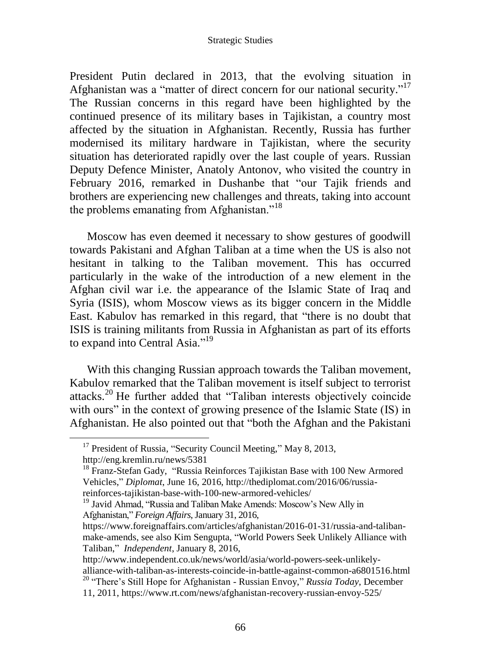#### Strategic Studies

President Putin declared in 2013, that the evolving situation in Afghanistan was a "matter of direct concern for our national security."<sup>17</sup> The Russian concerns in this regard have been highlighted by the continued presence of its military bases in Tajikistan, a country most affected by the situation in Afghanistan. Recently, Russia has further modernised its military hardware in Tajikistan, where the security situation has deteriorated rapidly over the last couple of years. Russian Deputy Defence Minister, Anatoly Antonov, who visited the country in February 2016, remarked in Dushanbe that "our Tajik friends and brothers are experiencing new challenges and threats, taking into account the problems emanating from Afghanistan."<sup>18</sup>

Moscow has even deemed it necessary to show gestures of goodwill towards Pakistani and Afghan Taliban at a time when the US is also not hesitant in talking to the Taliban movement. This has occurred particularly in the wake of the introduction of a new element in the Afghan civil war i.e. the appearance of the Islamic State of Iraq and Syria (ISIS), whom Moscow views as its bigger concern in the Middle East. Kabulov has remarked in this regard, that "there is no doubt that ISIS is training militants from Russia in Afghanistan as part of its efforts to expand into Central Asia."<sup>19</sup>

With this changing Russian approach towards the Taliban movement, Kabulov remarked that the Taliban movement is itself subject to terrorist attacks.<sup>20</sup> He further added that "Taliban interests objectively coincide with ours" in the context of growing presence of the Islamic State (IS) in Afghanistan. He also pointed out that "both the Afghan and the Pakistani

 $17$  President of Russia, "Security Council Meeting," May 8, 2013, <http://eng.kremlin.ru/news/5381>

<sup>&</sup>lt;sup>18</sup> Franz-Stefan Gady, "Russia Reinforces Tajikistan Base with 100 New Armored Vehicles," *Diplomat*, June 16, 2016, http://thediplomat.com/2016/06/russiareinforces-tajikistan-base-with-100-new-armored-vehicles/

<sup>&</sup>lt;sup>19</sup> Javid Ahmad, "Russia and Taliban Make Amends: Moscow's New Ally in Afghanistan," *Foreign Affairs*, January 31, 2016,

[https://www.foreignaffairs.com/articles/afghanistan/2016-01-31/russia-and-taliban](https://www.foreignaffairs.com/articles/afghanistan/2016-01-31/russia-and-taliban-make-amends)[make-amends,](https://www.foreignaffairs.com/articles/afghanistan/2016-01-31/russia-and-taliban-make-amends) see also Kim Sengupta, "World Powers Seek Unlikely Alliance with Taliban," *Independent*, January 8, 2016,

[http://www.independent.co.uk/news/world/asia/world-powers-seek-unlikely](http://www.independent.co.uk/news/world/asia/world-powers-seek-unlikely-alliance-with-taliban-as-interests-coincide-in-battle-against-common-a6801516.html)[alliance-with-taliban-as-interests-coincide-in-battle-against-common-a6801516.html](http://www.independent.co.uk/news/world/asia/world-powers-seek-unlikely-alliance-with-taliban-as-interests-coincide-in-battle-against-common-a6801516.html) <sup>20</sup> "There's Still Hope for Afghanistan - Russian Envoy," *Russia Today*, December

<sup>11, 2011,</sup> https://www.rt.com/news/afghanistan-recovery-russian-envoy-525/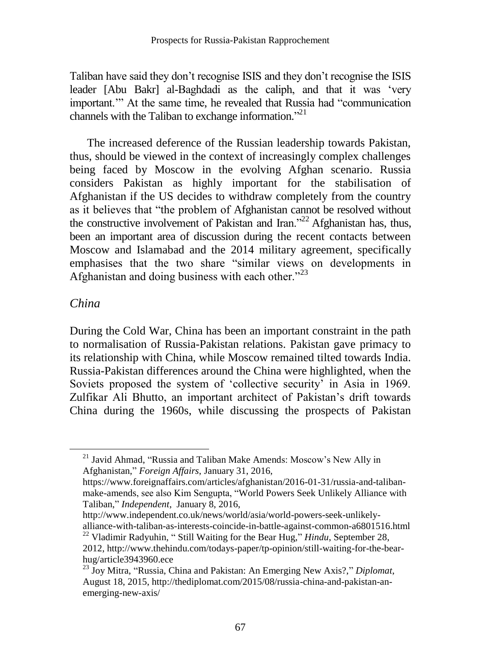Taliban have said they don't recognise ISIS and they don't recognise the ISIS leader [Abu Bakr] al-Baghdadi as the caliph, and that it was 'very important.'" At the same time, he revealed that Russia had "communication channels with the Taliban to exchange information."<sup>21</sup>

The increased deference of the Russian leadership towards Pakistan, thus, should be viewed in the context of increasingly complex challenges being faced by Moscow in the evolving Afghan scenario. Russia considers Pakistan as highly important for the stabilisation of Afghanistan if the US decides to withdraw completely from the country as it believes that "the problem of Afghanistan cannot be resolved without the constructive involvement of Pakistan and Iran."<sup>22</sup> Afghanistan has, thus, been an important area of discussion during the recent contacts between Moscow and Islamabad and the 2014 military agreement, specifically emphasises that the two share "similar views on developments in Afghanistan and doing business with each other."<sup>23</sup>

### *China*

 $\overline{a}$ 

During the Cold War, China has been an important constraint in the path to normalisation of Russia-Pakistan relations. Pakistan gave primacy to its relationship with China, while Moscow remained tilted towards India. Russia-Pakistan differences around the China were highlighted, when the Soviets proposed the system of 'collective security' in Asia in 1969. Zulfikar Ali Bhutto, an important architect of Pakistan's drift towards China during the 1960s, while discussing the prospects of Pakistan

[http://www.independent.co.uk/news/world/asia/world-powers-seek-unlikely](http://www.independent.co.uk/news/world/asia/world-powers-seek-unlikely-alliance-with-taliban-as-interests-coincide-in-battle-against-common-a6801516.html)[alliance-with-taliban-as-interests-coincide-in-battle-against-common-a6801516.html](http://www.independent.co.uk/news/world/asia/world-powers-seek-unlikely-alliance-with-taliban-as-interests-coincide-in-battle-against-common-a6801516.html)

<sup>&</sup>lt;sup>21</sup> Javid Ahmad, "Russia and Taliban Make Amends: Moscow's New Ally in Afghanistan," *Foreign Affairs*, January 31, 2016,

[https://www.foreignaffairs.com/articles/afghanistan/2016-01-31/russia-and-taliban](https://www.foreignaffairs.com/articles/afghanistan/2016-01-31/russia-and-taliban-make-amends)[make-amends,](https://www.foreignaffairs.com/articles/afghanistan/2016-01-31/russia-and-taliban-make-amends) see also Kim Sengupta, "World Powers Seek Unlikely Alliance with Taliban," *Independent*, January 8, 2016,

<sup>22</sup> Vladimir Radyuhin, " Still Waiting for the Bear Hug," *Hindu*, September 28, 2012[, http://www.thehindu.com/todays-paper/tp-opinion/still-waiting-for-the-bear](http://www.thehindu.com/todays-paper/tp-opinion/still-waiting-for-the-bear-hug/article3943960.ece)[hug/article3943960.ece](http://www.thehindu.com/todays-paper/tp-opinion/still-waiting-for-the-bear-hug/article3943960.ece)

<sup>23</sup> Joy Mitra, "Russia, China and Pakistan: An Emerging New Axis?," *Diplomat*, August 18, 2015, http://thediplomat.com/2015/08/russia-china-and-pakistan-anemerging-new-axis/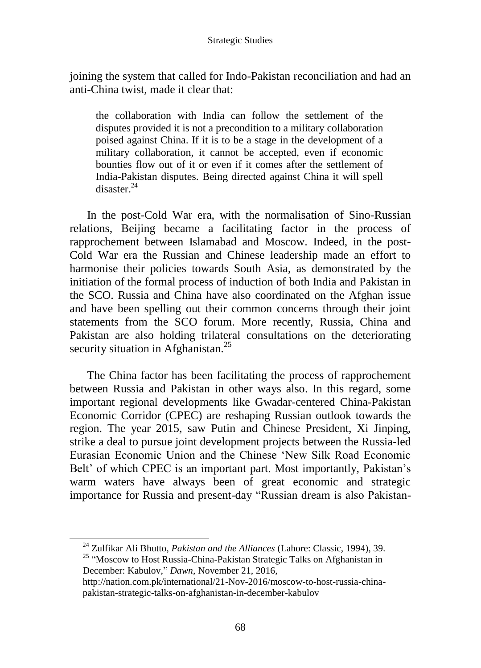joining the system that called for Indo-Pakistan reconciliation and had an anti-China twist, made it clear that:

the collaboration with India can follow the settlement of the disputes provided it is not a precondition to a military collaboration poised against China. If it is to be a stage in the development of a military collaboration, it cannot be accepted, even if economic bounties flow out of it or even if it comes after the settlement of India-Pakistan disputes. Being directed against China it will spell disaster.<sup>24</sup>

In the post-Cold War era, with the normalisation of Sino-Russian relations, Beijing became a facilitating factor in the process of rapprochement between Islamabad and Moscow. Indeed, in the post-Cold War era the Russian and Chinese leadership made an effort to harmonise their policies towards South Asia, as demonstrated by the initiation of the formal process of induction of both India and Pakistan in the SCO. Russia and China have also coordinated on the Afghan issue and have been spelling out their common concerns through their joint statements from the SCO forum. More recently, Russia, China and Pakistan are also holding trilateral consultations on the deteriorating security situation in Afghanistan.<sup>25</sup>

The China factor has been facilitating the process of rapprochement between Russia and Pakistan in other ways also. In this regard, some important regional developments like Gwadar-centered China-Pakistan Economic Corridor (CPEC) are reshaping Russian outlook towards the region. The year 2015, saw Putin and Chinese President, Xi Jinping, strike a deal to pursue joint development projects between the Russia-led Eurasian Economic Union and the Chinese 'New Silk Road Economic Belt' of which CPEC is an important part. Most importantly, Pakistan's warm waters have always been of great economic and strategic importance for Russia and present-day "Russian dream is also Pakistan-

<sup>24</sup> Zulfikar Ali Bhutto, *Pakistan and the Alliances* (Lahore: Classic, 1994), 39.

<sup>&</sup>lt;sup>25</sup> "Moscow to Host Russia-China-Pakistan Strategic Talks on Afghanistan in December: Kabulov," *Dawn*, November 21, 2016,

[http://nation.com.pk/international/21-Nov-2016/moscow-to-host-russia-china](http://nation.com.pk/international/21-Nov-2016/moscow-to-host-russia-china-pakistan-strategic-talks-on-afghanistan-in-december-kabulov)[pakistan-strategic-talks-on-afghanistan-in-december-kabulov](http://nation.com.pk/international/21-Nov-2016/moscow-to-host-russia-china-pakistan-strategic-talks-on-afghanistan-in-december-kabulov)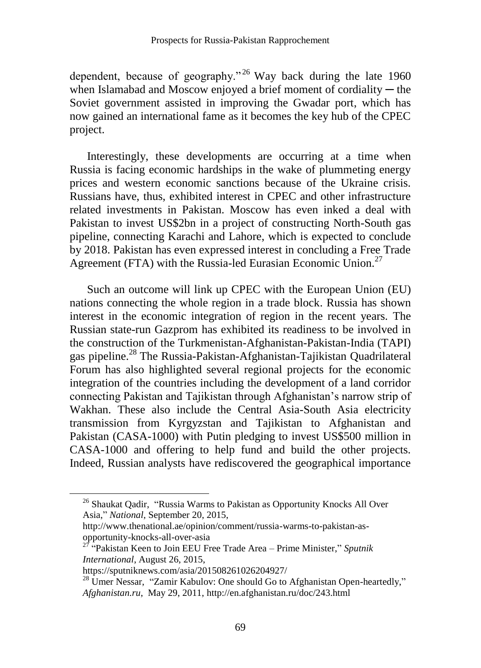dependent, because of geography."<sup>26</sup> Way back during the late  $1960$ when Islamabad and Moscow enjoyed a brief moment of cordiality  $-$  the Soviet government assisted in improving the Gwadar port, which has now gained an international fame as it becomes the key hub of the CPEC project.

Interestingly, these developments are occurring at a time when Russia is facing economic hardships in the wake of plummeting energy prices and western economic sanctions because of the Ukraine crisis. Russians have, thus, exhibited interest in CPEC and other infrastructure related investments in Pakistan. Moscow has even inked a deal with Pakistan to invest US\$2bn in a project of constructing North-South gas pipeline, connecting Karachi and Lahore, which is expected to conclude by 2018. Pakistan has even expressed interest in concluding a Free Trade Agreement (FTA) with the Russia-led Eurasian Economic Union.<sup>27</sup>

Such an outcome will link up CPEC with the European Union (EU) nations connecting the whole region in a trade block. Russia has shown interest in the economic integration of region in the recent years. The Russian state-run Gazprom has exhibited its readiness to be involved in the construction of the Turkmenistan-Afghanistan-Pakistan-India (TAPI) gas pipeline.<sup>28</sup> The Russia-Pakistan-Afghanistan-Tajikistan Quadrilateral Forum has also highlighted several regional projects for the economic integration of the countries including the development of a land corridor connecting Pakistan and Tajikistan through Afghanistan's narrow strip of Wakhan. These also include the Central Asia-South Asia electricity transmission from Kyrgyzstan and Tajikistan to Afghanistan and Pakistan (CASA-1000) with Putin pledging to invest US\$500 million in CASA-1000 and offering to help fund and build the other projects. Indeed, Russian analysts have rediscovered the geographical importance

<sup>&</sup>lt;sup>26</sup> Shaukat Qadir, "Russia Warms to Pakistan as Opportunity Knocks All Over Asia," *National*, September 20, 2015,

[http://www.thenational.ae/opinion/comment/russia-warms-to-pakistan-as](http://www.thenational.ae/opinion/comment/russia-warms-to-pakistan-as-opportunity-knocks-all-over-asia)[opportunity-knocks-all-over-asia](http://www.thenational.ae/opinion/comment/russia-warms-to-pakistan-as-opportunity-knocks-all-over-asia)

<sup>27</sup> "Pakistan Keen to Join EEU Free Trade Area – Prime Minister," *Sputnik International*, August 26, 2015,

https://sputniknews.com/asia/201508261026204927/

 $^{28}$  Umer Nessar, "Zamir Kabulov: One should Go to Afghanistan Open-heartedly," *Afghanistan.ru*, May 29, 2011[, http://en.afghanistan.ru/doc/243.html](http://en.afghanistan.ru/doc/243.html)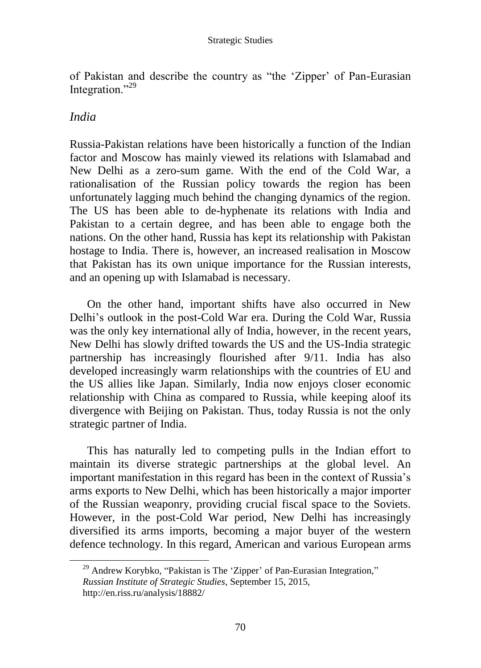of Pakistan and describe the country as "the 'Zipper' of Pan-Eurasian Integration."<sup>29</sup>

## *India*

Russia-Pakistan relations have been historically a function of the Indian factor and Moscow has mainly viewed its relations with Islamabad and New Delhi as a zero-sum game. With the end of the Cold War, a rationalisation of the Russian policy towards the region has been unfortunately lagging much behind the changing dynamics of the region. The US has been able to de-hyphenate its relations with India and Pakistan to a certain degree, and has been able to engage both the nations. On the other hand, Russia has kept its relationship with Pakistan hostage to India. There is, however, an increased realisation in Moscow that Pakistan has its own unique importance for the Russian interests, and an opening up with Islamabad is necessary.

On the other hand, important shifts have also occurred in New Delhi's outlook in the post-Cold War era. During the Cold War, Russia was the only key international ally of India, however, in the recent years, New Delhi has slowly drifted towards the US and the US-India strategic partnership has increasingly flourished after 9/11. India has also developed increasingly warm relationships with the countries of EU and the US allies like Japan. Similarly, India now enjoys closer economic relationship with China as compared to Russia, while keeping aloof its divergence with Beijing on Pakistan. Thus, today Russia is not the only strategic partner of India.

This has naturally led to competing pulls in the Indian effort to maintain its diverse strategic partnerships at the global level. An important manifestation in this regard has been in the context of Russia's arms exports to New Delhi, which has been historically a major importer of the Russian weaponry, providing crucial fiscal space to the Soviets. However, in the post-Cold War period, New Delhi has increasingly diversified its arms imports, becoming a major buyer of the western defence technology. In this regard, American and various European arms

<sup>&</sup>lt;sup>29</sup> Andrew Korybko, "Pakistan is The 'Zipper' of Pan-Eurasian Integration," *Russian Institute of Strategic Studies*, September 15, 2015, http://en.riss.ru/analysis/18882/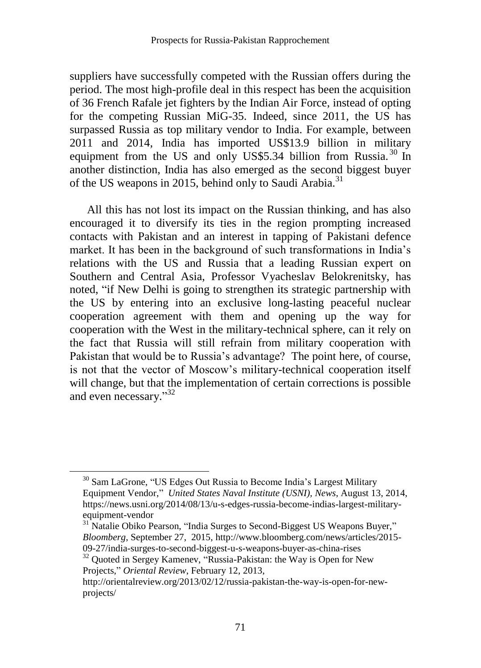suppliers have successfully competed with the Russian offers during the period. The most high-profile deal in this respect has been the acquisition of 36 French Rafale jet fighters by the Indian Air Force, instead of opting for the competing Russian MiG-35. Indeed, since 2011, the US has surpassed Russia as top military vendor to India. For example, between 2011 and 2014, India has imported US\$13.9 billion in military equipment from the US and only US\$5.34 billion from Russia.<sup>30</sup> In another distinction, India has also emerged as the second biggest buyer of the US weapons in 2015, behind only to Saudi Arabia.<sup>31</sup>

All this has not lost its impact on the Russian thinking, and has also encouraged it to diversify its ties in the region prompting increased contacts with Pakistan and an interest in tapping of Pakistani defence market. It has been in the background of such transformations in India's relations with the US and Russia that a leading Russian expert on Southern and Central Asia, Professor Vyacheslav Belokrenitsky, has noted, "if New Delhi is going to strengthen its strategic partnership with the US by entering into an exclusive long-lasting peaceful nuclear cooperation agreement with them and opening up the way for cooperation with the West in the military-technical sphere, can it rely on the fact that Russia will still refrain from military cooperation with Pakistan that would be to Russia's advantage? The point here, of course, is not that the vector of Moscow's military-technical cooperation itself will change, but that the implementation of certain corrections is possible and even necessary."<sup>32</sup>

<sup>&</sup>lt;sup>30</sup> Sam LaGrone, "US Edges Out Russia to Become India's Largest Military Equipment Vendor," *United States Naval Institute (USNI), News*, August 13, 2014, [https://news.usni.org/2014/08/13/u-s-edges-russia-become-indias-largest-military](https://news.usni.org/2014/08/13/u-s-edges-russia-become-indias-largest-military-equipment-vendor)[equipment-vendor](https://news.usni.org/2014/08/13/u-s-edges-russia-become-indias-largest-military-equipment-vendor)

<sup>&</sup>lt;sup>31</sup> Natalie Obiko Pearson, "India Surges to Second-Biggest US Weapons Buyer," *Bloomberg*, September 27, 2015[, http://www.bloomberg.com/news/articles/2015-](http://www.bloomberg.com/news/articles/2015-09-27/india-surges-to-second-biggest-u-s-weapons-buyer-as-china-rises) [09-27/india-surges-to-second-biggest-u-s-weapons-buyer-as-china-rises](http://www.bloomberg.com/news/articles/2015-09-27/india-surges-to-second-biggest-u-s-weapons-buyer-as-china-rises)

 $32$  Quoted in Sergey Kamenev, "Russia-Pakistan: the Way is Open for New Projects," *Oriental Review*, February 12, 2013,

http://orientalreview.org/2013/02/12/russia-pakistan-the-way-is-open-for-newprojects/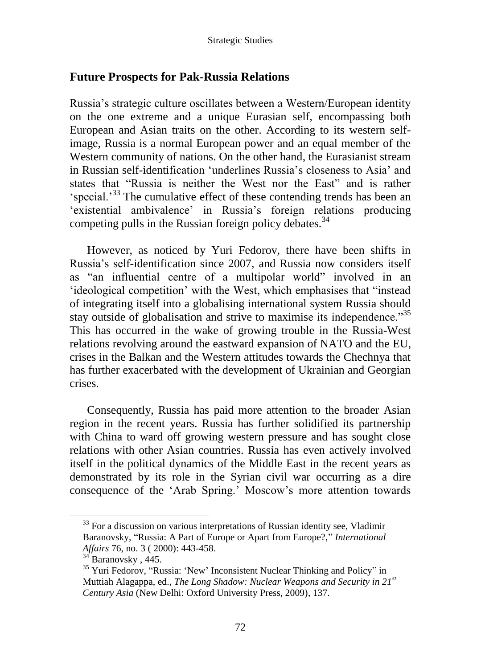### **Future Prospects for Pak-Russia Relations**

Russia's strategic culture oscillates between a Western/European identity on the one extreme and a unique Eurasian self, encompassing both European and Asian traits on the other. According to its western selfimage, Russia is a normal European power and an equal member of the Western community of nations. On the other hand, the Eurasianist stream in Russian self-identification 'underlines Russia's closeness to Asia' and states that "Russia is neither the West nor the East" and is rather 'special.'<sup>33</sup> The cumulative effect of these contending trends has been an 'existential ambivalence' in Russia's foreign relations producing competing pulls in the Russian foreign policy debates. $34$ 

However, as noticed by Yuri Fedorov, there have been shifts in Russia's self-identification since 2007, and Russia now considers itself as "an influential centre of a multipolar world" involved in an 'ideological competition' with the West, which emphasises that "instead of integrating itself into a globalising international system Russia should stay outside of globalisation and strive to maximise its independence."<sup>35</sup> This has occurred in the wake of growing trouble in the Russia-West relations revolving around the eastward expansion of NATO and the EU, crises in the Balkan and the Western attitudes towards the Chechnya that has further exacerbated with the development of Ukrainian and Georgian crises.

Consequently, Russia has paid more attention to the broader Asian region in the recent years. Russia has further solidified its partnership with China to ward off growing western pressure and has sought close relations with other Asian countries. Russia has even actively involved itself in the political dynamics of the Middle East in the recent years as demonstrated by its role in the Syrian civil war occurring as a dire consequence of the 'Arab Spring.' Moscow's more attention towards

<sup>&</sup>lt;sup>33</sup> For a discussion on various interpretations of Russian identity see, Vladimir Baranovsky, "Russia: A Part of Europe or Apart from Europe?," *International Affairs* 76, no. 3 ( 2000): 443-458.

 $34^{34}$  Baranovsky, 445.

<sup>&</sup>lt;sup>35</sup> Yuri Fedorov, "Russia: 'New' Inconsistent Nuclear Thinking and Policy" in Muttiah Alagappa, ed., *The Long Shadow: Nuclear Weapons and Security in 21st Century Asia* (New Delhi: Oxford University Press, 2009), 137.